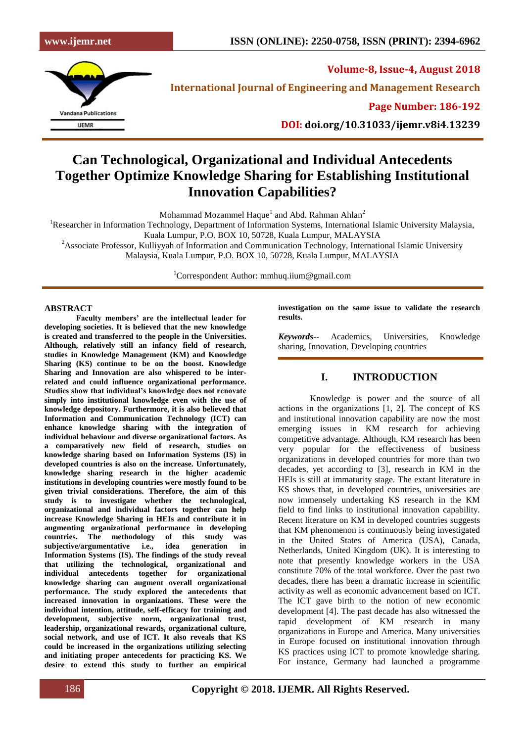

**Volume-8, Issue-4, August 2018**

**International Journal of Engineering and Management Research**

**Page Number: 186-192**

**DOI: doi.org/10.31033/ijemr.v8i4.13239**

# **Can Technological, Organizational and Individual Antecedents Together Optimize Knowledge Sharing for Establishing Institutional Innovation Capabilities?**

Mohammad Mozammel Haque $^{\rm l}$  and Abd. Rahman Ahlan $^{\rm 2}$ 

<sup>1</sup>Researcher in Information Technology, Department of Information Systems, International Islamic University Malaysia,

Kuala Lumpur, P.O. BOX 10, 50728, Kuala Lumpur, MALAYSIA

<sup>2</sup>Associate Professor, Kulliyyah of Information and Communication Technology, International Islamic University Malaysia, Kuala Lumpur, P.O. BOX 10, 50728, Kuala Lumpur, MALAYSIA

<sup>1</sup>Correspondent Author: mmhuq.iium@gmail.com

#### **ABSTRACT**

**Faculty members' are the intellectual leader for developing societies. It is believed that the new knowledge is created and transferred to the people in the Universities. Although, relatively still an infancy field of research, studies in Knowledge Management (KM) and Knowledge Sharing (KS) continue to be on the boost. Knowledge Sharing and Innovation are also whispered to be interrelated and could influence organizational performance. Studies show that individual's knowledge does not renovate simply into institutional knowledge even with the use of knowledge depository. Furthermore, it is also believed that Information and Communication Technology (ICT) can enhance knowledge sharing with the integration of individual behaviour and diverse organizational factors. As a comparatively new field of research, studies on knowledge sharing based on Information Systems (IS) in developed countries is also on the increase. Unfortunately, knowledge sharing research in the higher academic institutions in developing countries were mostly found to be given trivial considerations. Therefore, the aim of this study is to investigate whether the technological, organizational and individual factors together can help increase Knowledge Sharing in HEIs and contribute it in augmenting organizational performance in developing countries. The methodology of this study was subjective/argumentative i.e., idea generation in Information Systems (IS). The findings of the study reveal that utilizing the technological, organizational and individual antecedents together for organizational knowledge sharing can augment overall organizational performance. The study explored the antecedents that increased innovation in organizations. These were the individual intention, attitude, self-efficacy for training and development, subjective norm, organizational trust, leadership, organizational rewards, organizational culture, social network, and use of ICT. It also reveals that KS could be increased in the organizations utilizing selecting and initiating proper antecedents for practicing KS. We desire to extend this study to further an empirical** 

**investigation on the same issue to validate the research results.**

*Keywords--* Academics, Universities, Knowledge sharing, Innovation, Developing countries

## **I. INTRODUCTION**

Knowledge is power and the source of all actions in the organizations [1, 2]. The concept of KS and institutional innovation capability are now the most emerging issues in KM research for achieving competitive advantage. Although, KM research has been very popular for the effectiveness of business organizations in developed countries for more than two decades, yet according to [3], research in KM in the HEIs is still at immaturity stage. The extant literature in KS shows that, in developed countries, universities are now immensely undertaking KS research in the KM field to find links to institutional innovation capability. Recent literature on KM in developed countries suggests that KM phenomenon is continuously being investigated in the United States of America (USA), Canada, Netherlands, United Kingdom (UK). It is interesting to note that presently knowledge workers in the USA constitute 70% of the total workforce. Over the past two decades, there has been a dramatic increase in scientific activity as well as economic advancement based on ICT. The ICT gave birth to the notion of new economic development [4]. The past decade has also witnessed the rapid development of KM research in many organizations in Europe and America. Many universities in Europe focused on institutional innovation through KS practices using ICT to promote knowledge sharing. For instance, Germany had launched a programme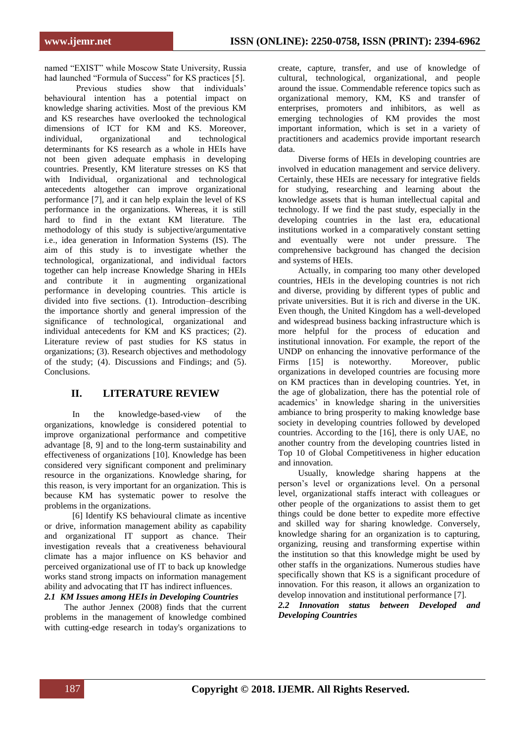named "EXIST" while Moscow State University, Russia had launched "Formula of Success" for KS practices [5].

Previous studies show that individuals' behavioural intention has a potential impact on knowledge sharing activities. Most of the previous KM and KS researches have overlooked the technological dimensions of ICT for KM and KS. Moreover, individual, organizational and technological determinants for KS research as a whole in HEIs have not been given adequate emphasis in developing countries. Presently, KM literature stresses on KS that with Individual, organizational and technological antecedents altogether can improve organizational performance [7], and it can help explain the level of KS performance in the organizations. Whereas, it is still hard to find in the extant KM literature. The methodology of this study is subjective/argumentative i.e., idea generation in Information Systems (IS). The aim of this study is to investigate whether the technological, organizational, and individual factors together can help increase Knowledge Sharing in HEIs and contribute it in augmenting organizational performance in developing countries. This article is divided into five sections. (1). Introduction–describing the importance shortly and general impression of the significance of technological, organizational and individual antecedents for KM and KS practices; (2). Literature review of past studies for KS status in organizations; (3). Research objectives and methodology of the study; (4). Discussions and Findings; and (5). Conclusions.

## **II. LITERATURE REVIEW**

In the knowledge-based-view of the organizations, knowledge is considered potential to improve organizational performance and competitive advantage [8, 9] and to the long-term sustainability and effectiveness of organizations [10]. Knowledge has been considered very significant component and preliminary resource in the organizations. Knowledge sharing, for this reason, is very important for an organization. This is because KM has systematic power to resolve the problems in the organizations.

[6] Identify KS behavioural climate as incentive or drive, information management ability as capability and organizational IT support as chance. Their investigation reveals that a creativeness behavioural climate has a major influence on KS behavior and perceived organizational use of IT to back up knowledge works stand strong impacts on information management ability and advocating that IT has indirect influences.

#### *2.1 KM Issues among HEIs in Developing Countries*

The author Jennex (2008) finds that the current problems in the management of knowledge combined with cutting-edge research in today's organizations to create, capture, transfer, and use of knowledge of cultural, technological, organizational, and people around the issue. Commendable reference topics such as organizational memory, KM, KS and transfer of enterprises, promoters and inhibitors, as well as emerging technologies of KM provides the most important information, which is set in a variety of practitioners and academics provide important research data.

Diverse forms of HEIs in developing countries are involved in education management and service delivery. Certainly, these HEIs are necessary for integrative fields for studying, researching and learning about the knowledge assets that is human intellectual capital and technology. If we find the past study, especially in the developing countries in the last era, educational institutions worked in a comparatively constant setting and eventually were not under pressure. The comprehensive background has changed the decision and systems of HEIs.

Actually, in comparing too many other developed countries, HEIs in the developing countries is not rich and diverse, providing by different types of public and private universities. But it is rich and diverse in the UK. Even though, the United Kingdom has a well-developed and widespread business backing infrastructure which is more helpful for the process of education and institutional innovation. For example, the report of the UNDP on enhancing the innovative performance of the Firms [15] is noteworthy. Moreover, public organizations in developed countries are focusing more on KM practices than in developing countries. Yet, in the age of globalization, there has the potential role of academics' in knowledge sharing in the universities ambiance to bring prosperity to making knowledge base society in developing countries followed by developed countries. According to the [16], there is only UAE, no another country from the developing countries listed in Top 10 of Global Competitiveness in higher education and innovation.

Usually, knowledge sharing happens at the person's level or organizations level. On a personal level, organizational staffs interact with colleagues or other people of the organizations to assist them to get things could be done better to expedite more effective and skilled way for sharing knowledge. Conversely, knowledge sharing for an organization is to capturing, organizing, reusing and transforming expertise within the institution so that this knowledge might be used by other staffs in the organizations. Numerous studies have specifically shown that KS is a significant procedure of innovation. For this reason, it allows an organization to develop innovation and institutional performance [7].

#### *2.2 Innovation status between Developed and Developing Countries*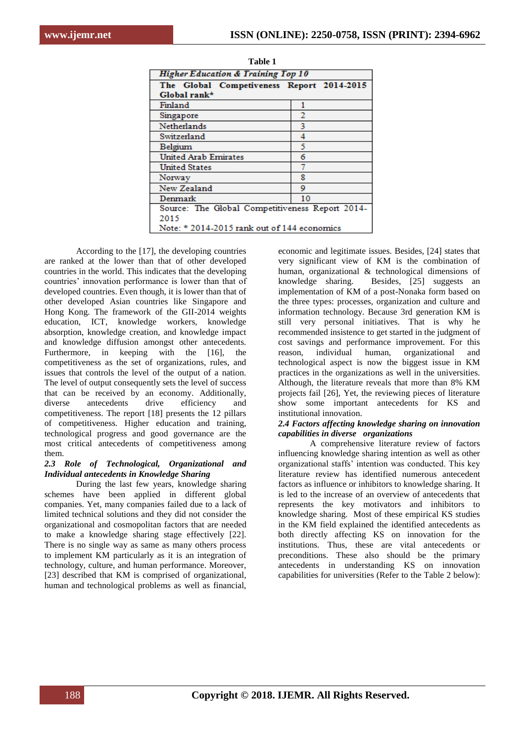| <b>Higher Education &amp; Training Top 10</b>   |    |  |  |
|-------------------------------------------------|----|--|--|
| The Global Competiveness Report 2014-2015       |    |  |  |
| Global rank*                                    |    |  |  |
| Finland                                         |    |  |  |
| Singapore                                       | 2  |  |  |
| <b>Netherlands</b>                              | 3  |  |  |
| Switzerland                                     | 4  |  |  |
| Belgium                                         |    |  |  |
| <b>United Arab Emirates</b>                     | 6  |  |  |
| United States                                   | 7  |  |  |
| Norway                                          | 8  |  |  |
| New Zealand                                     | ٥  |  |  |
| Denmark                                         | 10 |  |  |
| Source: The Global Competitiveness Report 2014- |    |  |  |
| 2015                                            |    |  |  |
| Note: $*$ 2014-2015 rank out of 144 economics   |    |  |  |

| <b>Table 1</b>                                |                                           |        |  |  |
|-----------------------------------------------|-------------------------------------------|--------|--|--|
| <b>Higher Education &amp; Training Top 10</b> |                                           |        |  |  |
|                                               | The Global Competiveness Report 2014-2015 |        |  |  |
|                                               | Global rank*                              |        |  |  |
|                                               | Finland                                   |        |  |  |
|                                               | Singapore                                 | 2      |  |  |
|                                               | Netherlands                               | 3      |  |  |
|                                               | Switzerland                               | 4      |  |  |
|                                               | Belgium                                   | ٢      |  |  |
|                                               | <b>United Arab Emirates</b>               | 6      |  |  |
|                                               | <b>United States</b>                      | 7      |  |  |
|                                               | Norway                                    | 8      |  |  |
|                                               | $N_{\rm max}$ $T_{\rm max}$ $1 - 1$       | $\sim$ |  |  |

According to the [17], the developing countries are ranked at the lower than that of other developed countries in the world. This indicates that the developing countries' innovation performance is lower than that of developed countries. Even though, it is lower than that of other developed Asian countries like Singapore and Hong Kong. The framework of the GII-2014 weights education, ICT, knowledge workers, knowledge absorption, knowledge creation, and knowledge impact and knowledge diffusion amongst other antecedents. Furthermore, in keeping with the [16], the competitiveness as the set of organizations, rules, and issues that controls the level of the output of a nation. The level of output consequently sets the level of success that can be received by an economy. Additionally, diverse antecedents drive efficiency and competitiveness. The report [18] presents the 12 pillars of competitiveness. Higher education and training, technological progress and good governance are the most critical antecedents of competitiveness among them.

#### *2.3 Role of Technological, Organizational and Individual antecedents in Knowledge Sharing*

During the last few years, knowledge sharing schemes have been applied in different global companies. Yet, many companies failed due to a lack of limited technical solutions and they did not consider the organizational and cosmopolitan factors that are needed to make a knowledge sharing stage effectively [22]. There is no single way as same as many others process to implement KM particularly as it is an integration of technology, culture, and human performance. Moreover, [23] described that KM is comprised of organizational, human and technological problems as well as financial,

economic and legitimate issues. Besides, [24] states that very significant view of KM is the combination of human, organizational & technological dimensions of knowledge sharing. Besides, [25] suggests an implementation of KM of a post-Nonaka form based on the three types: processes, organization and culture and information technology. Because 3rd generation KM is still very personal initiatives. That is why he recommended insistence to get started in the judgment of cost savings and performance improvement. For this reason, individual human, organizational and technological aspect is now the biggest issue in KM practices in the organizations as well in the universities. Although, the literature reveals that more than 8% KM projects fail [26], Yet, the reviewing pieces of literature show some important antecedents for KS and institutional innovation.

#### *2.4 Factors affecting knowledge sharing on innovation capabilities in diverse organizations*

A comprehensive literature review of factors influencing knowledge sharing intention as well as other organizational staffs' intention was conducted. This key literature review has identified numerous antecedent factors as influence or inhibitors to knowledge sharing. It is led to the increase of an overview of antecedents that represents the key motivators and inhibitors to knowledge sharing. Most of these empirical KS studies in the KM field explained the identified antecedents as both directly affecting KS on innovation for the institutions. Thus, these are vital antecedents or preconditions. These also should be the primary antecedents in understanding KS on innovation capabilities for universities (Refer to the Table 2 below):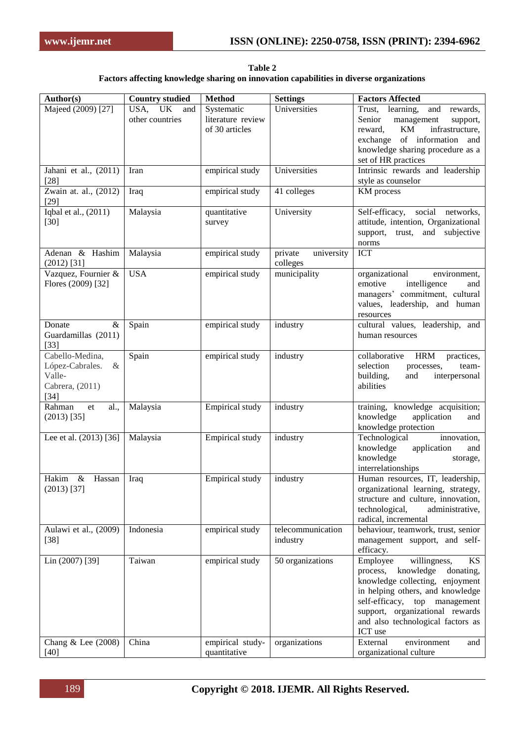**Table 2 Factors affecting knowledge sharing on innovation capabilities in diverse organizations**

| Author(s)                                                                         | <b>Country studied</b>               | <b>Method</b>                                     | <b>Settings</b>                   | <b>Factors Affected</b>                                                                                                                                                                                                                                                                    |
|-----------------------------------------------------------------------------------|--------------------------------------|---------------------------------------------------|-----------------------------------|--------------------------------------------------------------------------------------------------------------------------------------------------------------------------------------------------------------------------------------------------------------------------------------------|
| Majeed (2009) [27]                                                                | USA,<br>UK<br>and<br>other countries | Systematic<br>literature review<br>of 30 articles | Universities                      | Trust, learning,<br>and rewards,<br>Senior<br>management<br>support,<br>KM<br>infrastructure,<br>reward,<br>exchange of information and<br>knowledge sharing procedure as a<br>set of HR practices                                                                                         |
| Jahani et al., (2011)<br>$[28]$                                                   | Iran                                 | empirical study                                   | Universities                      | Intrinsic rewards and leadership<br>style as counselor                                                                                                                                                                                                                                     |
| Zwain at. al., (2012)<br>$[29]$                                                   | Iraq                                 | empirical study                                   | 41 colleges                       | KM process                                                                                                                                                                                                                                                                                 |
| Iqbal et al., (2011)<br>$[30]$                                                    | Malaysia                             | quantitative<br>survey                            | University                        | Self-efficacy, social networks,<br>attitude, intention, Organizational<br>trust, and<br>subjective<br>support,<br>norms                                                                                                                                                                    |
| Adenan & Hashim<br>$(2012)$ [31]                                                  | Malaysia                             | empirical study                                   | university<br>private<br>colleges | <b>ICT</b>                                                                                                                                                                                                                                                                                 |
| Vazquez, Fournier &<br>Flores (2009) [32]                                         | <b>USA</b>                           | empirical study                                   | municipality                      | organizational<br>environment,<br>emotive<br>intelligence<br>and<br>managers' commitment, cultural<br>values, leadership, and human<br>resources                                                                                                                                           |
| $\&$<br>Donate<br>Guardamillas (2011)<br>$[33]$                                   | Spain                                | empirical study                                   | industry                          | cultural values, leadership, and<br>human resources                                                                                                                                                                                                                                        |
| Cabello-Medina,<br>López-Cabrales.<br>$\&$<br>Valle-<br>Cabrera, (2011)<br>$[34]$ | Spain                                | empirical study                                   | industry                          | collaborative<br><b>HRM</b><br>practices,<br>selection<br>processes,<br>team-<br>building,<br>and<br>interpersonal<br>abilities                                                                                                                                                            |
| Rahman<br>al.,<br>et<br>$(2013)$ [35]                                             | Malaysia                             | <b>Empirical study</b>                            | industry                          | training, knowledge acquisition;<br>knowledge<br>application<br>and<br>knowledge protection                                                                                                                                                                                                |
| Lee et al. (2013) [36]                                                            | Malaysia                             | Empirical study                                   | industry                          | Technological<br>innovation,<br>knowledge<br>application<br>and<br>knowledge<br>storage,<br>interrelationships                                                                                                                                                                             |
| Hakim & Hassan<br>$(2013)$ [37]                                                   | Iraq                                 | <b>Empirical study</b>                            | industry                          | Human resources, IT, leadership,<br>organizational learning, strategy,<br>structure and culture, innovation,<br>technological,<br>administrative,<br>radical, incremental                                                                                                                  |
| Aulawi et al., (2009)<br>$[38]$                                                   | Indonesia                            | empirical study                                   | telecommunication<br>industry     | behaviour, teamwork, trust, senior<br>management support, and self-<br>efficacy.                                                                                                                                                                                                           |
| Lin (2007) [39]                                                                   | Taiwan<br>China                      | empirical study                                   | 50 organizations                  | Employee<br>willingness,<br>KS<br>knowledge<br>donating,<br>process,<br>knowledge collecting, enjoyment<br>in helping others, and knowledge<br>self-efficacy, top management<br>support, organizational rewards<br>and also technological factors as<br>ICT use<br>External<br>environment |
| Chang & Lee (2008)<br>$[40]$                                                      |                                      | empirical study-<br>quantitative                  | organizations                     | and<br>organizational culture                                                                                                                                                                                                                                                              |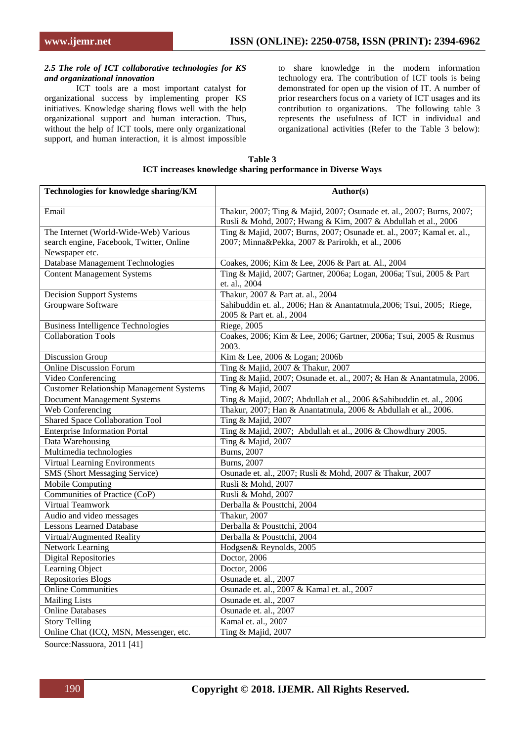#### *2.5 The role of ICT collaborative technologies for KS and organizational innovation*

ICT tools are a most important catalyst for organizational success by implementing proper KS initiatives. Knowledge sharing flows well with the help organizational support and human interaction. Thus, without the help of ICT tools, mere only organizational support, and human interaction, it is almost impossible

to share knowledge in the modern information technology era. The contribution of ICT tools is being demonstrated for open up the vision of IT. A number of prior researchers focus on a variety of ICT usages and its contribution to organizations. The following table 3 represents the usefulness of ICT in individual and organizational activities (Refer to the Table 3 below):

| Table 3                                                     |  |  |  |  |
|-------------------------------------------------------------|--|--|--|--|
| ICT increases knowledge sharing performance in Diverse Ways |  |  |  |  |

| Technologies for knowledge sharing/KM           | Author(s)                                                                                                                              |
|-------------------------------------------------|----------------------------------------------------------------------------------------------------------------------------------------|
| Email                                           | Thakur, 2007; Ting & Majid, 2007; Osunade et. al., 2007; Burns, 2007;<br>Rusli & Mohd, 2007; Hwang & Kim, 2007 & Abdullah et al., 2006 |
| The Internet (World-Wide-Web) Various           | Ting & Majid, 2007; Burns, 2007; Osunade et. al., 2007; Kamal et. al.,                                                                 |
| search engine, Facebook, Twitter, Online        | 2007; Minna&Pekka, 2007 & Parirokh, et al., 2006                                                                                       |
| Newspaper etc.                                  |                                                                                                                                        |
| Database Management Technologies                | Coakes, 2006; Kim & Lee, 2006 & Part at. Al., 2004                                                                                     |
| <b>Content Management Systems</b>               | Ting & Majid, 2007; Gartner, 2006a; Logan, 2006a; Tsui, 2005 & Part                                                                    |
|                                                 | et. al., 2004                                                                                                                          |
| <b>Decision Support Systems</b>                 | Thakur, 2007 & Part at. al., 2004                                                                                                      |
| Groupware Software                              | Sahibuddin et. al., 2006; Han & Anantatmula, 2006; Tsui, 2005; Riege,<br>2005 & Part et. al., 2004                                     |
| <b>Business Intelligence Technologies</b>       | Riege, 2005                                                                                                                            |
| <b>Collaboration Tools</b>                      | Coakes, 2006; Kim & Lee, 2006; Gartner, 2006a; Tsui, 2005 & Rusmus<br>2003.                                                            |
| Discussion Group                                | Kim & Lee, 2006 & Logan; 2006b                                                                                                         |
| <b>Online Discussion Forum</b>                  | Ting & Majid, 2007 & Thakur, 2007                                                                                                      |
| Video Conferencing                              | Ting & Majid, 2007; Osunade et. al., 2007; & Han & Anantatmula, 2006.                                                                  |
| <b>Customer Relationship Management Systems</b> | Ting & Majid, 2007                                                                                                                     |
| <b>Document Management Systems</b>              | Ting & Majid, 2007; Abdullah et al., 2006 & Sahibuddin et. al., 2006                                                                   |
| Web Conferencing                                | Thakur, 2007; Han & Anantatmula, 2006 & Abdullah et al., 2006.                                                                         |
| <b>Shared Space Collaboration Tool</b>          | Ting & Majid, 2007                                                                                                                     |
| <b>Enterprise Information Portal</b>            | Ting & Majid, 2007; Abdullah et al., 2006 & Chowdhury 2005.                                                                            |
| Data Warehousing                                | Ting & Majid, 2007                                                                                                                     |
| Multimedia technologies                         | <b>Burns</b> , 2007                                                                                                                    |
| Virtual Learning Environments                   | <b>Burns</b> , 2007                                                                                                                    |
| SMS (Short Messaging Service)                   | Osunade et. al., 2007; Rusli & Mohd, 2007 & Thakur, 2007                                                                               |
| Mobile Computing                                | Rusli & Mohd, 2007                                                                                                                     |
| Communities of Practice (CoP)                   | Rusli & Mohd, 2007                                                                                                                     |
| Virtual Teamwork                                | Derballa & Pousttchi, 2004                                                                                                             |
| Audio and video messages                        | <b>Thakur</b> , 2007                                                                                                                   |
| <b>Lessons Learned Database</b>                 | Derballa & Pousttchi, 2004                                                                                                             |
| Virtual/Augmented Reality                       | Derballa & Pousttchi, 2004                                                                                                             |
| <b>Network Learning</b>                         | Hodgsen& Reynolds, 2005                                                                                                                |
| <b>Digital Repositories</b>                     | Doctor, 2006                                                                                                                           |
| Learning Object                                 | Doctor, 2006                                                                                                                           |
| Repositories Blogs                              | Osunade et. al., 2007                                                                                                                  |
| <b>Online Communities</b>                       | Osunade et. al., 2007 & Kamal et. al., 2007                                                                                            |
| <b>Mailing Lists</b>                            | Osunade et. al., 2007                                                                                                                  |
| <b>Online Databases</b>                         | Osunade et. al., 2007                                                                                                                  |
| <b>Story Telling</b>                            | Kamal et. al., 2007                                                                                                                    |
| Online Chat (ICQ, MSN, Messenger, etc.          | Ting & Majid, 2007                                                                                                                     |

Source:Nassuora, 2011 [41]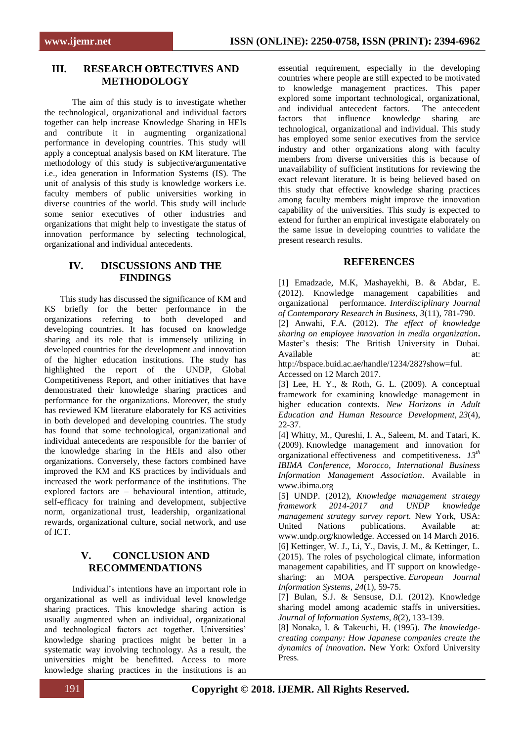## **III. RESEARCH OBTECTIVES AND METHODOLOGY**

The aim of this study is to investigate whether the technological, organizational and individual factors together can help increase Knowledge Sharing in HEIs and contribute it in augmenting organizational performance in developing countries. This study will apply a conceptual analysis based on KM literature. The methodology of this study is subjective/argumentative i.e., idea generation in Information Systems (IS). The unit of analysis of this study is knowledge workers i.e. faculty members of public universities working in diverse countries of the world. This study will include some senior executives of other industries and organizations that might help to investigate the status of innovation performance by selecting technological, organizational and individual antecedents.

# **IV. DISCUSSIONS AND THE FINDINGS**

This study has discussed the significance of KM and KS briefly for the better performance in the organizations referring to both developed and developing countries. It has focused on knowledge sharing and its role that is immensely utilizing in developed countries for the development and innovation of the higher education institutions. The study has highlighted the report of the UNDP, Global Competitiveness Report, and other initiatives that have demonstrated their knowledge sharing practices and performance for the organizations. Moreover, the study has reviewed KM literature elaborately for KS activities in both developed and developing countries. The study has found that some technological, organizational and individual antecedents are responsible for the barrier of the knowledge sharing in the HEIs and also other organizations. Conversely, these factors combined have improved the KM and KS practices by individuals and increased the work performance of the institutions. The explored factors are – behavioural intention, attitude, self-efficacy for training and development, subjective norm, organizational trust, leadership, organizational rewards, organizational culture, social network, and use of ICT.

# **V. CONCLUSION AND RECOMMENDATIONS**

Individual's intentions have an important role in organizational as well as individual level knowledge sharing practices. This knowledge sharing action is usually augmented when an individual, organizational and technological factors act together. Universities' knowledge sharing practices might be better in a systematic way involving technology. As a result, the universities might be benefitted. Access to more knowledge sharing practices in the institutions is an essential requirement, especially in the developing countries where people are still expected to be motivated to knowledge management practices. This paper explored some important technological, organizational, and individual antecedent factors. The antecedent factors that influence knowledge sharing are technological, organizational and individual. This study has employed some senior executives from the service industry and other organizations along with faculty members from diverse universities this is because of unavailability of sufficient institutions for reviewing the exact relevant literature. It is being believed based on this study that effective knowledge sharing practices among faculty members might improve the innovation capability of the universities. This study is expected to extend for further an empirical investigate elaborately on the same issue in developing countries to validate the present research results.

## **REFERENCES**

[1] Emadzade, M.K, Mashayekhi, B. & Abdar, E. (2012). Knowledge management capabilities and organizational performance. *Interdisciplinary Journal of Contemporary Research in Business, 3*(11), 781-790.

[2] Anwahi, F.A. (2012). *The effect of knowledge sharing on employee innovation in media organization***.**  Master's thesis: The British University in Dubai. Available at: at:

http://bspace.buid.ac.ae/handle/1234/282?show=ful. Accessed on 12 March 2017.

[3] Lee, H. Y., & Roth, G. L. (2009). A conceptual framework for examining knowledge management in higher education contexts. *New Horizons in Adult Education and Human Resource Development, 23*(4), 22-37.

[4] Whitty, M., Qureshi, I. A., Saleem, M. and Tatari, K. (2009). Knowledge management and innovation for organizational effectiveness and competitiveness**.** *13th IBIMA Conference, Morocco, International Business Information Management Association*. Available in www.ibima.org

[5] UNDP. (2012), *Knowledge management strategy framework 2014-2017 and UNDP knowledge management strategy survey report*. New York, USA: United Nations publications. Available at: www.undp.org/knowledge. Accessed on 14 March 2016. [6] Kettinger, W. J., Li, Y., Davis, J. M., & Kettinger, L. (2015). The roles of psychological climate, information management capabilities, and IT support on knowledgesharing: an MOA perspective. *European Journal Information Systems, 24*(1), 59-75.

[7] Bulan, S.J. & Sensuse, D.I. (2012). Knowledge sharing model among academic staffs in universities**.**  *Journal of Information Systems, 8*(2), 133-139.

[8] Nonaka, I. & Takeuchi, H. (1995). *The knowledgecreating company: How Japanese companies create the dynamics of innovation***.** New York: Oxford University Press.